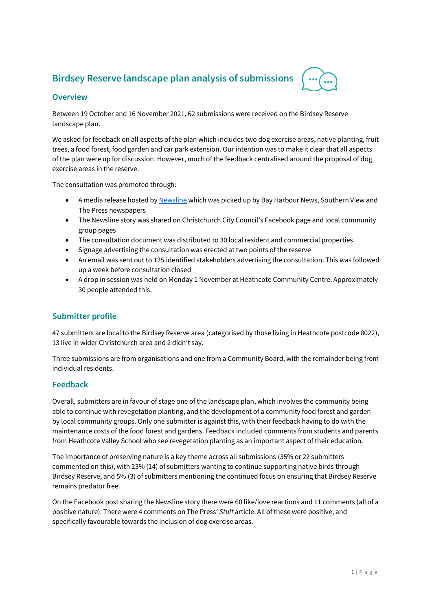# **Birdsey Reserve landscape plan analysis of submissions**



## **Overview**

Between 19 October and 16 November 2021, 62 submissions were received on the Birdsey Reserve landscape plan.

We asked for feedback on all aspects of the plan which includes two dog exercise areas, native planting, fruit trees, a food forest, food garden and car park extension. Our intention was to make it clear that all aspects of the plan were up for discussion. However, much of the feedback centralised around the proposal of dog exercise areas in the reserve.

The consultation was promoted through:

- A media release hosted b[y Newsline](https://newsline.ccc.govt.nz/news/story/food-for-thought-in-heathcote-valley) which was picked up by Bay Harbour News, Southern View and The Press newspapers
- The Newsline story was shared on Christchurch City Council's Facebook page and local community group pages
- The consultation document was distributed to 30 local resident and commercial properties
- Signage advertising the consultation was erected at two points of the reserve
- An email was sent out to 125 identified stakeholders advertising the consultation. This was followed up a week before consultation closed
- A drop in session was held on Monday 1 November at Heathcote Community Centre. Approximately 30 people attended this.

## **Submitter profile**

47 submitters are local to the Birdsey Reserve area (categorised by those living in Heathcote postcode 8022), 13 live in wider Christchurch area and 2 didn't say.

Three submissions are from organisations and one from a Community Board, with the remainder being from individual residents.

#### **Feedback**

Overall, submitters are in favour of stage one of the landscape plan, which involves the community being able to continue with revegetation planting, and the development of a community food forest and garden by local community groups. Only one submitter is against this, with their feedback having to do with the maintenance costs of the food forest and gardens. Feedback included comments from students and parents from Heathcote Valley School who see revegetation planting as an important aspect of their education.

The importance of preserving nature is a key theme across all submissions (35% or 22 submitters commented on this), with 23% (14) of submitters wanting to continue supporting native birds through Birdsey Reserve, and 5% (3) of submitters mentioning the continued focus on ensuring that Birdsey Reserve remains predator free.

On the Facebook post sharing the Newsline story there were 60 like/love reactions and 11 comments (all of a positive nature). There were 4 comments on The Press' *Stuff* article. All of these were positive, and specifically favourable towards the inclusion of dog exercise areas.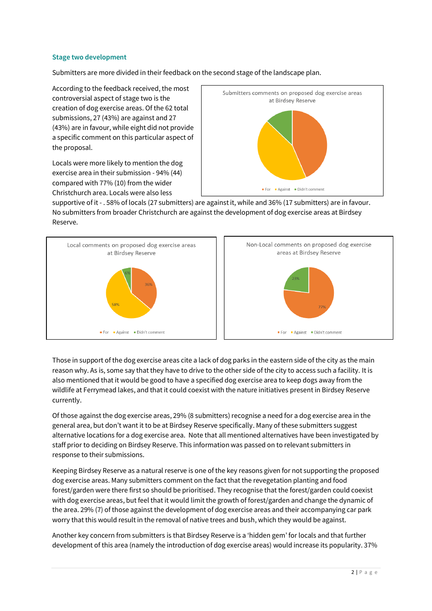#### **Stage two development**

Submitters are more divided in their feedback on the second stage of the landscape plan.

According to the feedback received, the most controversial aspect of stage two is the creation of dog exercise areas. Of the 62 total submissions, 27 (43%) are against and 27 (43%) are in favour, while eight did not provide a specific comment on this particular aspect of the proposal.

Locals were more likely to mention the dog exercise area in their submission - 94% (44) compared with 77% (10) from the wider Christchurch area. Locals were also less



supportive of it - . 58% of locals (27 submitters) are againstit, while and 36% (17 submitters) are in favour. No submitters from broader Christchurch are against the development of dog exercise areas at Birdsey Reserve.



Those in support of the dog exercise areas cite a lack of dog parks in the eastern side of the city as the main reason why. As is, some say that they have to drive to the other side of the city to access such a facility. It is also mentioned that it would be good to have a specified dog exercise area to keep dogs away from the wildlife at Ferrymead lakes, and that it could coexist with the nature initiatives present in Birdsey Reserve currently.

Of those against the dog exercise areas, 29% (8 submitters) recognise a need for a dog exercise area in the general area, but don't want it to be at Birdsey Reserve specifically. Many of these submitters suggest alternative locations for a dog exercise area. Note that all mentioned alternatives have been investigated by staff prior to deciding on Birdsey Reserve. This information was passed on to relevant submitters in response to their submissions.

Keeping Birdsey Reserve as a natural reserve is one of the key reasons given for not supporting the proposed dog exercise areas. Many submitters comment on the fact that the revegetation planting and food forest/garden were there first so should be prioritised. They recognise that the forest/garden could coexist with dog exercise areas, but feel that it would limit the growth of forest/garden and change the dynamic of the area. 29% (7) of those against the development of dog exercise areas and their accompanying car park worry that this would result in the removal of native trees and bush, which they would be against.

Another key concern from submitters is that Birdsey Reserve is a 'hidden gem' for locals and that further development of this area (namely the introduction of dog exercise areas) would increase its popularity. 37%